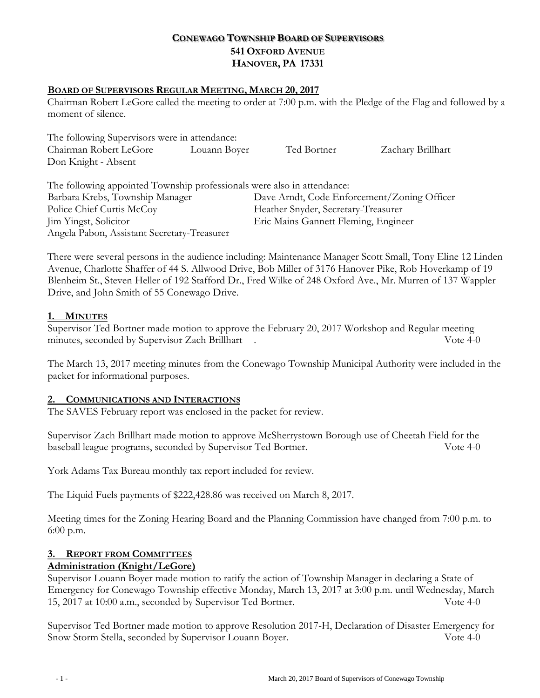# **CONEWAGO TOWNSHIP BOARD OF SUPERVISORS 541 OXFORD AVENUE HANOVER, PA 17331**

### **BOARD OF SUPERVISORS REGULAR MEETING, MARCH 20, 2017**

Chairman Robert LeGore called the meeting to order at 7:00 p.m. with the Pledge of the Flag and followed by a moment of silence.

The following Supervisors were in attendance: Chairman Robert LeGore Louann Boyer Ted Bortner Zachary Brillhart Don Knight - Absent

| The following appointed Township professionals were also in attendance: |                                             |
|-------------------------------------------------------------------------|---------------------------------------------|
| Barbara Krebs, Township Manager                                         | Dave Arndt, Code Enforcement/Zoning Officer |
| Police Chief Curtis McCoy                                               | Heather Snyder, Secretary-Treasurer         |
| Jim Yingst, Solicitor                                                   | Eric Mains Gannett Fleming, Engineer        |
| Angela Pabon, Assistant Secretary-Treasurer                             |                                             |

There were several persons in the audience including: Maintenance Manager Scott Small, Tony Eline 12 Linden Avenue, Charlotte Shaffer of 44 S. Allwood Drive, Bob Miller of 3176 Hanover Pike, Rob Hoverkamp of 19 Blenheim St., Steven Heller of 192 Stafford Dr., Fred Wilke of 248 Oxford Ave., Mr. Murren of 137 Wappler Drive, and John Smith of 55 Conewago Drive.

### **1. MINUTES**

Supervisor Ted Bortner made motion to approve the February 20, 2017 Workshop and Regular meeting minutes, seconded by Supervisor Zach Brillhart . Vote 4-0

The March 13, 2017 meeting minutes from the Conewago Township Municipal Authority were included in the packet for informational purposes.

### **2. COMMUNICATIONS AND INTERACTIONS**

The SAVES February report was enclosed in the packet for review.

Supervisor Zach Brillhart made motion to approve McSherrystown Borough use of Cheetah Field for the baseball league programs, seconded by Supervisor Ted Bortner. Vote 4-0

York Adams Tax Bureau monthly tax report included for review.

The Liquid Fuels payments of \$222,428.86 was received on March 8, 2017.

Meeting times for the Zoning Hearing Board and the Planning Commission have changed from 7:00 p.m. to 6:00 p.m.

# **3. REPORT FROM COMMITTEES**

# **Administration (Knight/LeGore)**

Supervisor Louann Boyer made motion to ratify the action of Township Manager in declaring a State of Emergency for Conewago Township effective Monday, March 13, 2017 at 3:00 p.m. until Wednesday, March 15, 2017 at 10:00 a.m., seconded by Supervisor Ted Bortner. Vote 4-0

Supervisor Ted Bortner made motion to approve Resolution 2017-H, Declaration of Disaster Emergency for Snow Storm Stella, seconded by Supervisor Louann Boyer. Vote 4-0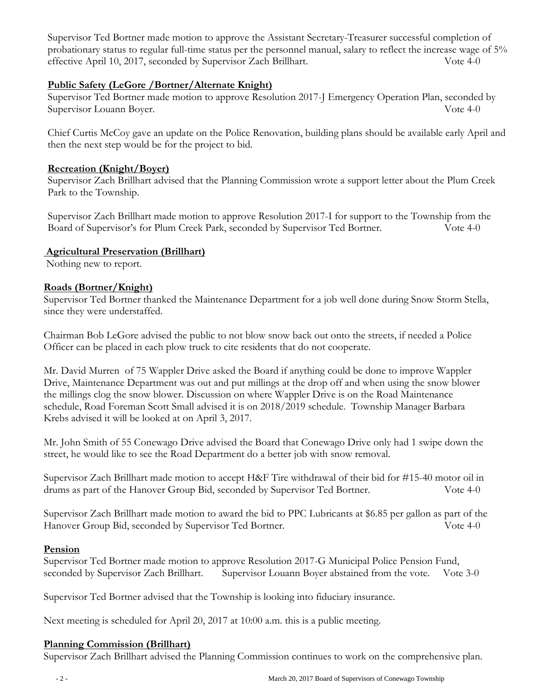Supervisor Ted Bortner made motion to approve the Assistant Secretary-Treasurer successful completion of probationary status to regular full-time status per the personnel manual, salary to reflect the increase wage of 5% effective April 10, 2017, seconded by Supervisor Zach Brillhart. Vote 4-0

## **Public Safety (LeGore /Bortner/Alternate Knight)**

Supervisor Ted Bortner made motion to approve Resolution 2017-J Emergency Operation Plan, seconded by Supervisor Louann Boyer. Vote 4-0

Chief Curtis McCoy gave an update on the Police Renovation, building plans should be available early April and then the next step would be for the project to bid.

### **Recreation (Knight/Boyer)**

Supervisor Zach Brillhart advised that the Planning Commission wrote a support letter about the Plum Creek Park to the Township.

Supervisor Zach Brillhart made motion to approve Resolution 2017-I for support to the Township from the Board of Supervisor's for Plum Creek Park, seconded by Supervisor Ted Bortner. Vote 4-0

### **Agricultural Preservation (Brillhart)**

Nothing new to report.

### **Roads (Bortner/Knight)**

Supervisor Ted Bortner thanked the Maintenance Department for a job well done during Snow Storm Stella, since they were understaffed.

Chairman Bob LeGore advised the public to not blow snow back out onto the streets, if needed a Police Officer can be placed in each plow truck to cite residents that do not cooperate.

Mr. David Murren of 75 Wappler Drive asked the Board if anything could be done to improve Wappler Drive, Maintenance Department was out and put millings at the drop off and when using the snow blower the millings clog the snow blower. Discussion on where Wappler Drive is on the Road Maintenance schedule, Road Foreman Scott Small advised it is on 2018/2019 schedule. Township Manager Barbara Krebs advised it will be looked at on April 3, 2017.

Mr. John Smith of 55 Conewago Drive advised the Board that Conewago Drive only had 1 swipe down the street, he would like to see the Road Department do a better job with snow removal.

Supervisor Zach Brillhart made motion to accept H&F Tire withdrawal of their bid for #15-40 motor oil in drums as part of the Hanover Group Bid, seconded by Supervisor Ted Bortner. Vote 4-0

Supervisor Zach Brillhart made motion to award the bid to PPC Lubricants at \$6.85 per gallon as part of the Hanover Group Bid, seconded by Supervisor Ted Bortner. Vote 4-0

### **Pension**

Supervisor Ted Bortner made motion to approve Resolution 2017-G Municipal Police Pension Fund, seconded by Supervisor Zach Brillhart. Supervisor Louann Boyer abstained from the vote. Vote 3-0

Supervisor Ted Bortner advised that the Township is looking into fiduciary insurance.

Next meeting is scheduled for April 20, 2017 at 10:00 a.m. this is a public meeting.

### **Planning Commission (Brillhart)**

Supervisor Zach Brillhart advised the Planning Commission continues to work on the comprehensive plan.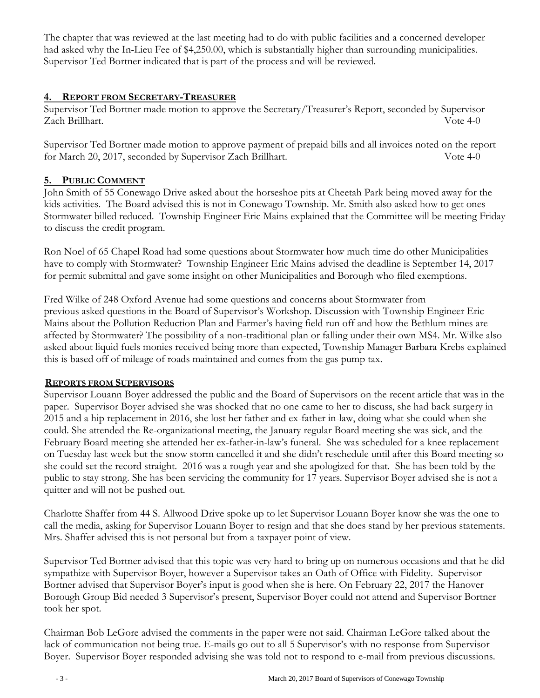The chapter that was reviewed at the last meeting had to do with public facilities and a concerned developer had asked why the In-Lieu Fee of \$4,250.00, which is substantially higher than surrounding municipalities. Supervisor Ted Bortner indicated that is part of the process and will be reviewed.

# **4. REPORT FROM SECRETARY-TREASURER**

Supervisor Ted Bortner made motion to approve the Secretary/Treasurer's Report, seconded by Supervisor Zach Brillhart. Vote 4-0

Supervisor Ted Bortner made motion to approve payment of prepaid bills and all invoices noted on the report for March 20, 2017, seconded by Supervisor Zach Brillhart. Vote 4-0

# **5. PUBLIC COMMENT**

John Smith of 55 Conewago Drive asked about the horseshoe pits at Cheetah Park being moved away for the kids activities. The Board advised this is not in Conewago Township. Mr. Smith also asked how to get ones Stormwater billed reduced. Township Engineer Eric Mains explained that the Committee will be meeting Friday to discuss the credit program.

Ron Noel of 65 Chapel Road had some questions about Stormwater how much time do other Municipalities have to comply with Stormwater? Township Engineer Eric Mains advised the deadline is September 14, 2017 for permit submittal and gave some insight on other Municipalities and Borough who filed exemptions.

Fred Wilke of 248 Oxford Avenue had some questions and concerns about Stormwater from previous asked questions in the Board of Supervisor's Workshop. Discussion with Township Engineer Eric Mains about the Pollution Reduction Plan and Farmer's having field run off and how the Bethlum mines are affected by Stormwater? The possibility of a non-traditional plan or falling under their own MS4. Mr. Wilke also asked about liquid fuels monies received being more than expected, Township Manager Barbara Krebs explained this is based off of mileage of roads maintained and comes from the gas pump tax.

# **REPORTS FROM SUPERVISORS**

Supervisor Louann Boyer addressed the public and the Board of Supervisors on the recent article that was in the paper. Supervisor Boyer advised she was shocked that no one came to her to discuss, she had back surgery in 2015 and a hip replacement in 2016, she lost her father and ex-father in-law, doing what she could when she could. She attended the Re-organizational meeting, the January regular Board meeting she was sick, and the February Board meeting she attended her ex-father-in-law's funeral. She was scheduled for a knee replacement on Tuesday last week but the snow storm cancelled it and she didn't reschedule until after this Board meeting so she could set the record straight. 2016 was a rough year and she apologized for that. She has been told by the public to stay strong. She has been servicing the community for 17 years. Supervisor Boyer advised she is not a quitter and will not be pushed out.

Charlotte Shaffer from 44 S. Allwood Drive spoke up to let Supervisor Louann Boyer know she was the one to call the media, asking for Supervisor Louann Boyer to resign and that she does stand by her previous statements. Mrs. Shaffer advised this is not personal but from a taxpayer point of view.

Supervisor Ted Bortner advised that this topic was very hard to bring up on numerous occasions and that he did sympathize with Supervisor Boyer, however a Supervisor takes an Oath of Office with Fidelity. Supervisor Bortner advised that Supervisor Boyer's input is good when she is here. On February 22, 2017 the Hanover Borough Group Bid needed 3 Supervisor's present, Supervisor Boyer could not attend and Supervisor Bortner took her spot.

Chairman Bob LeGore advised the comments in the paper were not said. Chairman LeGore talked about the lack of communication not being true. E-mails go out to all 5 Supervisor's with no response from Supervisor Boyer. Supervisor Boyer responded advising she was told not to respond to e-mail from previous discussions.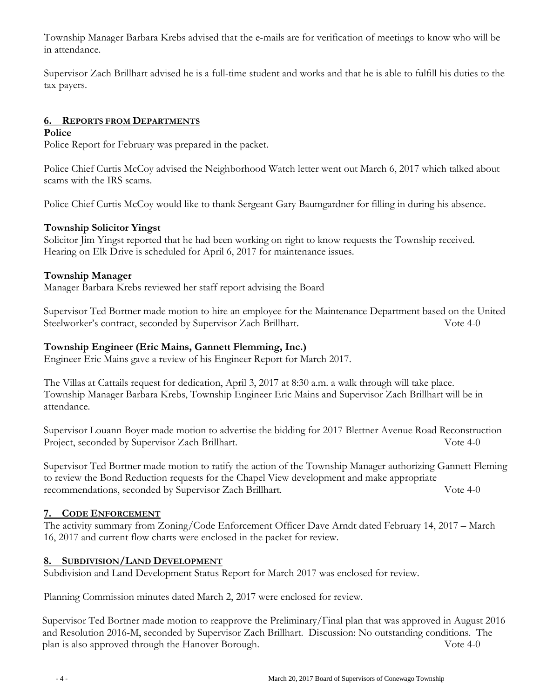Township Manager Barbara Krebs advised that the e-mails are for verification of meetings to know who will be in attendance.

Supervisor Zach Brillhart advised he is a full-time student and works and that he is able to fulfill his duties to the tax payers.

## **6. REPORTS FROM DEPARTMENTS**

### **Police**

Police Report for February was prepared in the packet.

Police Chief Curtis McCoy advised the Neighborhood Watch letter went out March 6, 2017 which talked about scams with the IRS scams.

Police Chief Curtis McCoy would like to thank Sergeant Gary Baumgardner for filling in during his absence.

### **Township Solicitor Yingst**

Solicitor Jim Yingst reported that he had been working on right to know requests the Township received. Hearing on Elk Drive is scheduled for April 6, 2017 for maintenance issues.

### **Township Manager**

Manager Barbara Krebs reviewed her staff report advising the Board

Supervisor Ted Bortner made motion to hire an employee for the Maintenance Department based on the United Steelworker's contract, seconded by Supervisor Zach Brillhart. Vote 4-0

## **Township Engineer (Eric Mains, Gannett Flemming, Inc.)**

Engineer Eric Mains gave a review of his Engineer Report for March 2017.

The Villas at Cattails request for dedication, April 3, 2017 at 8:30 a.m. a walk through will take place. Township Manager Barbara Krebs, Township Engineer Eric Mains and Supervisor Zach Brillhart will be in attendance.

Supervisor Louann Boyer made motion to advertise the bidding for 2017 Blettner Avenue Road Reconstruction Project, seconded by Supervisor Zach Brillhart. Vote 4-0

Supervisor Ted Bortner made motion to ratify the action of the Township Manager authorizing Gannett Fleming to review the Bond Reduction requests for the Chapel View development and make appropriate recommendations, seconded by Supervisor Zach Brillhart. Vote 4-0

### **7. CODE ENFORCEMENT**

The activity summary from Zoning/Code Enforcement Officer Dave Arndt dated February 14, 2017 – March 16, 2017 and current flow charts were enclosed in the packet for review.

### **8. SUBDIVISION/LAND DEVELOPMENT**

Subdivision and Land Development Status Report for March 2017 was enclosed for review.

Planning Commission minutes dated March 2, 2017 were enclosed for review.

Supervisor Ted Bortner made motion to reapprove the Preliminary/Final plan that was approved in August 2016 and Resolution 2016-M, seconded by Supervisor Zach Brillhart. Discussion: No outstanding conditions. The plan is also approved through the Hanover Borough. Vote 4-0